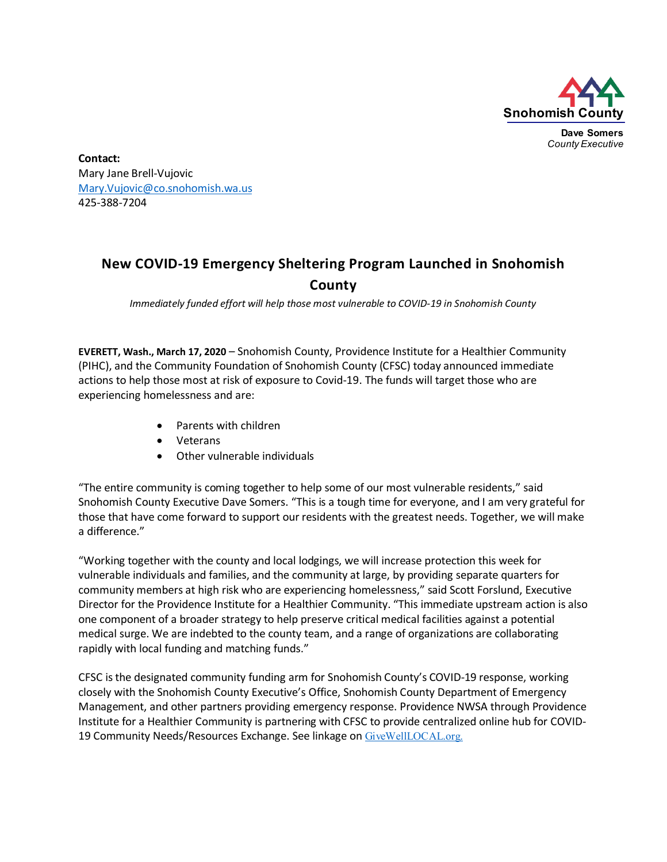

**Contact:** Mary Jane Brell-Vujovic [Mary.Vujovic@co.snohomish.wa.us](mailto:Mary.Vujovic@co.snohomish.wa.us) 425-388-7204

## **New COVID-19 Emergency Sheltering Program Launched in Snohomish County**

*Immediately funded effort will help those most vulnerable to COVID-19 in Snohomish County*

**EVERETT, Wash., March 17, 2020** – Snohomish County, Providence Institute for a Healthier Community (PIHC), and the Community Foundation of Snohomish County (CFSC) today announced immediate actions to help those most at risk of exposure to Covid-19. The funds will target those who are experiencing homelessness and are:

- Parents with children
- Veterans
- Other vulnerable individuals

"The entire community is coming together to help some of our most vulnerable residents," said Snohomish County Executive Dave Somers. "This is a tough time for everyone, and I am very grateful for those that have come forward to support our residents with the greatest needs. Together, we will make a difference."

"Working together with the county and local lodgings, we will increase protection this week for vulnerable individuals and families, and the community at large, by providing separate quarters for community members at high risk who are experiencing homelessness," said Scott Forslund, Executive Director for the Providence Institute for a Healthier Community. "This immediate upstream action is also one component of a broader strategy to help preserve critical medical facilities against a potential medical surge. We are indebted to the county team, and a range of organizations are collaborating rapidly with local funding and matching funds."

CFSC is the designated community funding arm for Snohomish County's COVID-19 response, working closely with the Snohomish County Executive's Office, Snohomish County Department of Emergency Management, and other partners providing emergency response. Providence NWSA through Providence Institute for a Healthier Community is partnering with CFSC to provide centralized online hub for COVID-19 Community Needs/Resources Exchange. See linkage on [GiveWellLOCAL.org.](https://pihchub.org/givewell/)